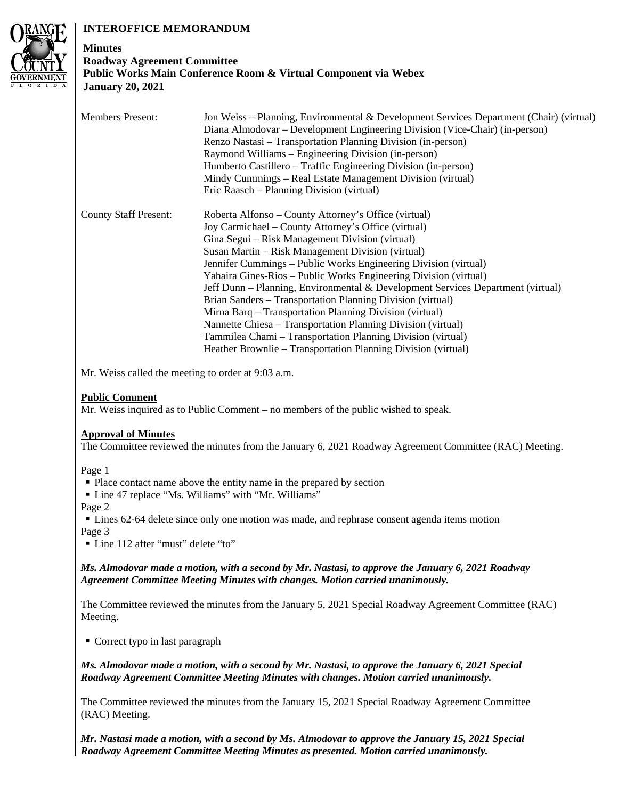# **INTEROFFICE MEMORANDUM**



# **Minutes Roadway Agreement Committee Public Works Main Conference Room & Virtual Component via Webex January 20, 2021**

| <b>Members Present:</b>      | Jon Weiss – Planning, Environmental & Development Services Department (Chair) (virtual)<br>Diana Almodovar – Development Engineering Division (Vice-Chair) (in-person)<br>Renzo Nastasi – Transportation Planning Division (in-person)<br>Raymond Williams – Engineering Division (in-person)<br>Humberto Castillero – Traffic Engineering Division (in-person)<br>Mindy Cummings – Real Estate Management Division (virtual)<br>Eric Raasch – Planning Division (virtual)                                                                                                                                                                                                                                                                                             |
|------------------------------|------------------------------------------------------------------------------------------------------------------------------------------------------------------------------------------------------------------------------------------------------------------------------------------------------------------------------------------------------------------------------------------------------------------------------------------------------------------------------------------------------------------------------------------------------------------------------------------------------------------------------------------------------------------------------------------------------------------------------------------------------------------------|
| <b>County Staff Present:</b> | Roberta Alfonso – County Attorney's Office (virtual)<br>Joy Carmichael – County Attorney's Office (virtual)<br>Gina Segui – Risk Management Division (virtual)<br>Susan Martin – Risk Management Division (virtual)<br>Jennifer Cummings - Public Works Engineering Division (virtual)<br>Yahaira Gines-Rios – Public Works Engineering Division (virtual)<br>Jeff Dunn - Planning, Environmental & Development Services Department (virtual)<br>Brian Sanders - Transportation Planning Division (virtual)<br>Mirna Barq – Transportation Planning Division (virtual)<br>Nannette Chiesa – Transportation Planning Division (virtual)<br>Tammilea Chami – Transportation Planning Division (virtual)<br>Heather Brownlie – Transportation Planning Division (virtual) |

Mr. Weiss called the meeting to order at 9:03 a.m.

# **Public Comment**

Mr. Weiss inquired as to Public Comment – no members of the public wished to speak.

# **Approval of Minutes**

The Committee reviewed the minutes from the January 6, 2021 Roadway Agreement Committee (RAC) Meeting.

Page 1

• Place contact name above the entity name in the prepared by section

Line 47 replace "Ms. Williams" with "Mr. Williams"

Page 2

 Lines 62-64 delete since only one motion was made, and rephrase consent agenda items motion Page 3

Line 112 after "must" delete "to"

# *Ms. Almodovar made a motion, with a second by Mr. Nastasi, to approve the January 6, 2021 Roadway Agreement Committee Meeting Minutes with changes. Motion carried unanimously.*

The Committee reviewed the minutes from the January 5, 2021 Special Roadway Agreement Committee (RAC) Meeting.

■ Correct typo in last paragraph

*Ms. Almodovar made a motion, with a second by Mr. Nastasi, to approve the January 6, 2021 Special Roadway Agreement Committee Meeting Minutes with changes. Motion carried unanimously.* 

The Committee reviewed the minutes from the January 15, 2021 Special Roadway Agreement Committee (RAC) Meeting.

*Mr. Nastasi made a motion, with a second by Ms. Almodovar to approve the January 15, 2021 Special Roadway Agreement Committee Meeting Minutes as presented. Motion carried unanimously.*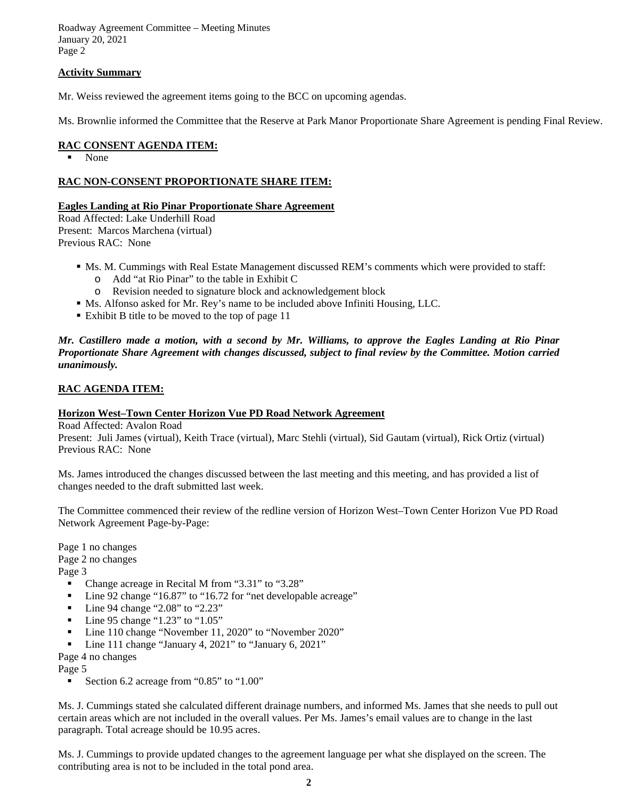Roadway Agreement Committee – Meeting Minutes January 20, 2021 Page 2

## **Activity Summary**

Mr. Weiss reviewed the agreement items going to the BCC on upcoming agendas.

Ms. Brownlie informed the Committee that the Reserve at Park Manor Proportionate Share Agreement is pending Final Review.

#### **RAC CONSENT AGENDA ITEM:**

• None

## **RAC NON-CONSENT PROPORTIONATE SHARE ITEM:**

#### **Eagles Landing at Rio Pinar Proportionate Share Agreement**

Road Affected: Lake Underhill Road Present: Marcos Marchena (virtual) Previous RAC: None

- Ms. M. Cummings with Real Estate Management discussed REM's comments which were provided to staff:
	- o Add "at Rio Pinar" to the table in Exhibit C
	- o Revision needed to signature block and acknowledgement block
- Ms. Alfonso asked for Mr. Rey's name to be included above Infiniti Housing, LLC.
- Exhibit B title to be moved to the top of page 11

*Mr. Castillero made a motion, with a second by Mr. Williams, to approve the Eagles Landing at Rio Pinar Proportionate Share Agreement with changes discussed, subject to final review by the Committee. Motion carried unanimously.* 

## **RAC AGENDA ITEM:**

#### **Horizon West–Town Center Horizon Vue PD Road Network Agreement**

Road Affected: Avalon Road

Present: Juli James (virtual), Keith Trace (virtual), Marc Stehli (virtual), Sid Gautam (virtual), Rick Ortiz (virtual) Previous RAC: None

Ms. James introduced the changes discussed between the last meeting and this meeting, and has provided a list of changes needed to the draft submitted last week.

The Committee commenced their review of the redline version of Horizon West–Town Center Horizon Vue PD Road Network Agreement Page-by-Page:

Page 1 no changes Page 2 no changes

Page 3

- Change acreage in Recital M from "3.31" to "3.28"
- Line 92 change "16.87" to "16.72 for "net developable acreage"
- $\blacksquare$  Line 94 change "2.08" to "2.23"
- $\blacksquare$  Line 95 change "1.23" to "1.05"
- Line 110 change "November 11, 2020" to "November 2020"
- Line 111 change "January 4, 2021" to "January 6, 2021"

Page 4 no changes

Page 5

Section 6.2 acreage from "0.85" to "1.00"

Ms. J. Cummings stated she calculated different drainage numbers, and informed Ms. James that she needs to pull out certain areas which are not included in the overall values. Per Ms. James's email values are to change in the last paragraph. Total acreage should be 10.95 acres.

Ms. J. Cummings to provide updated changes to the agreement language per what she displayed on the screen. The contributing area is not to be included in the total pond area.